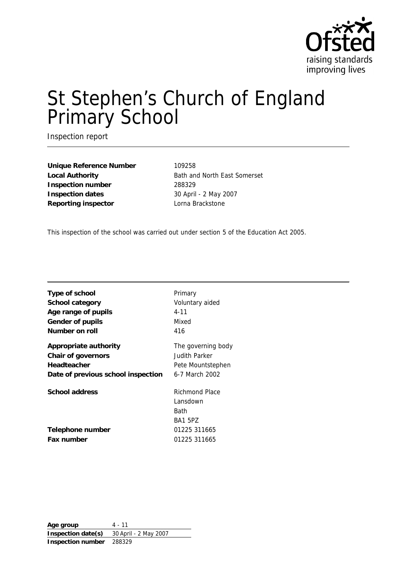

# St Stephen's Church of England Primary School

Inspection report

Unique Reference Number 109258 Local Authority **Bath and North East Somerset Inspection number** 288329 **Inspection dates** 30 April - 2 May 2007 **Reporting inspector** Lorna Brackstone

This inspection of the school was carried out under section 5 of the Education Act 2005.

| Type of school                     | Primary                                              |
|------------------------------------|------------------------------------------------------|
| School category                    | Voluntary aided                                      |
| Age range of pupils                | $4 - 11$                                             |
| Gender of pupils                   | Mixed                                                |
| Number on roll                     | 416                                                  |
| Appropriate authority              | The governing body                                   |
| Chair of governors                 | Judith Parker                                        |
| Headteacher                        | Pete Mountstephen                                    |
| Date of previous school inspection | 6-7 March 2002                                       |
| School address                     | Richmond Place<br>Lansdown<br>Bath<br><b>BA1 5PZ</b> |
| Telephone number                   | 01225 311665                                         |
| Fax number                         | 01225 311665                                         |

**Age group** 4 - 11 **Inspection date(s)** 30 April - 2 May 2007 **Inspection number** 288329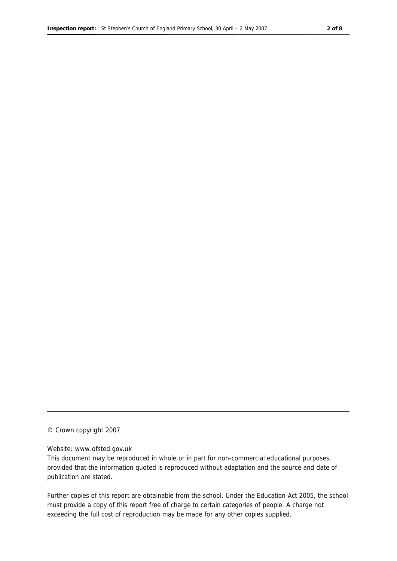© Crown copyright 2007

#### Website: www.ofsted.gov.uk

This document may be reproduced in whole or in part for non-commercial educational purposes, provided that the information quoted is reproduced without adaptation and the source and date of publication are stated.

Further copies of this report are obtainable from the school. Under the Education Act 2005, the school must provide a copy of this report free of charge to certain categories of people. A charge not exceeding the full cost of reproduction may be made for any other copies supplied.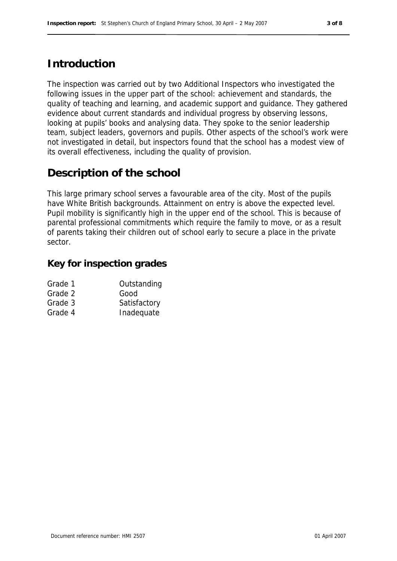## **Introduction**

The inspection was carried out by two Additional Inspectors who investigated the following issues in the upper part of the school: achievement and standards, the quality of teaching and learning, and academic support and guidance. They gathered evidence about current standards and individual progress by observing lessons, looking at pupils' books and analysing data. They spoke to the senior leadership team, subject leaders, governors and pupils. Other aspects of the school's work were not investigated in detail, but inspectors found that the school has a modest view of its overall effectiveness, including the quality of provision.

## **Description of the school**

This large primary school serves a favourable area of the city. Most of the pupils have White British backgrounds. Attainment on entry is above the expected level. Pupil mobility is significantly high in the upper end of the school. This is because of parental professional commitments which require the family to move, or as a result of parents taking their children out of school early to secure a place in the private sector.

#### **Key for inspection grades**

| Grade 1 | Outstanding  |
|---------|--------------|
| Grade 2 | Good         |
| Grade 3 | Satisfactory |
| Grade 4 | Inadequate   |
|         |              |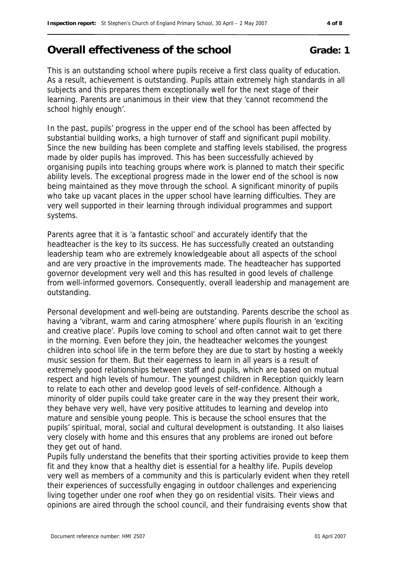# Overall effectiveness of the school **Grade:** 1

This is an outstanding school where pupils receive a first class quality of education. As a result, achievement is outstanding. Pupils attain extremely high standards in all subjects and this prepares them exceptionally well for the next stage of their learning. Parents are unanimous in their view that they 'cannot recommend the school highly enough'.

In the past, pupils' progress in the upper end of the school has been affected by substantial building works, a high turnover of staff and significant pupil mobility. Since the new building has been complete and staffing levels stabilised, the progress made by older pupils has improved. This has been successfully achieved by organising pupils into teaching groups where work is planned to match their specific ability levels. The exceptional progress made in the lower end of the school is now being maintained as they move through the school. A significant minority of pupils who take up vacant places in the upper school have learning difficulties. They are very well supported in their learning through individual programmes and support systems.

Parents agree that it is 'a fantastic school' and accurately identify that the headteacher is the key to its success. He has successfully created an outstanding leadership team who are extremely knowledgeable about all aspects of the school and are very proactive in the improvements made. The headteacher has supported governor development very well and this has resulted in good levels of challenge from well-informed governors. Consequently, overall leadership and management are outstanding.

Personal development and well-being are outstanding. Parents describe the school as having a 'vibrant, warm and caring atmosphere' where pupils flourish in an 'exciting and creative place'. Pupils love coming to school and often cannot wait to get there in the morning. Even before they join, the headteacher welcomes the youngest children into school life in the term before they are due to start by hosting a weekly music session for them. But their eagerness to learn in all years is a result of extremely good relationships between staff and pupils, which are based on mutual respect and high levels of humour. The youngest children in Reception quickly learn to relate to each other and develop good levels of self-confidence. Although a minority of older pupils could take greater care in the way they present their work, they behave very well, have very positive attitudes to learning and develop into mature and sensible young people. This is because the school ensures that the pupils' spiritual, moral, social and cultural development is outstanding. It also liaises very closely with home and this ensures that any problems are ironed out before they get out of hand.

Pupils fully understand the benefits that their sporting activities provide to keep them fit and they know that a healthy diet is essential for a healthy life. Pupils develop very well as members of a community and this is particularly evident when they retell their experiences of successfully engaging in outdoor challenges and experiencing living together under one roof when they go on residential visits. Their views and opinions are aired through the school council, and their fundraising events show that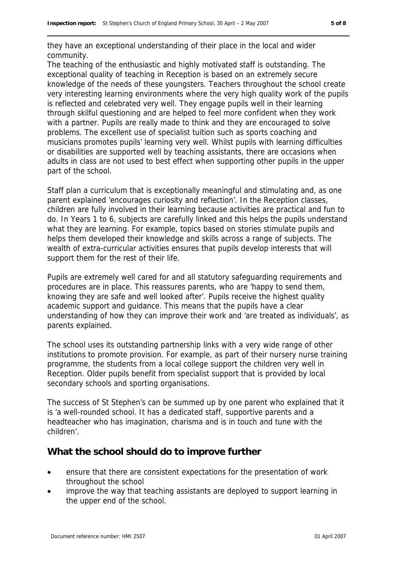they have an exceptional understanding of their place in the local and wider community.

The teaching of the enthusiastic and highly motivated staff is outstanding. The exceptional quality of teaching in Reception is based on an extremely secure knowledge of the needs of these youngsters. Teachers throughout the school create very interesting learning environments where the very high quality work of the pupils is reflected and celebrated very well. They engage pupils well in their learning through skilful questioning and are helped to feel more confident when they work with a partner. Pupils are really made to think and they are encouraged to solve problems. The excellent use of specialist tuition such as sports coaching and musicians promotes pupils' learning very well. Whilst pupils with learning difficulties or disabilities are supported well by teaching assistants, there are occasions when adults in class are not used to best effect when supporting other pupils in the upper part of the school.

Staff plan a curriculum that is exceptionally meaningful and stimulating and, as one parent explained 'encourages curiosity and reflection'. In the Reception classes, children are fully involved in their learning because activities are practical and fun to do. In Years 1 to 6, subjects are carefully linked and this helps the pupils understand what they are learning. For example, topics based on stories stimulate pupils and helps them developed their knowledge and skills across a range of subjects. The wealth of extra-curricular activities ensures that pupils develop interests that will support them for the rest of their life.

Pupils are extremely well cared for and all statutory safeguarding requirements and procedures are in place. This reassures parents, who are 'happy to send them, knowing they are safe and well looked after'. Pupils receive the highest quality academic support and guidance. This means that the pupils have a clear understanding of how they can improve their work and 'are treated as individuals', as parents explained.

The school uses its outstanding partnership links with a very wide range of other institutions to promote provision. For example, as part of their nursery nurse training programme, the students from a local college support the children very well in Reception. Older pupils benefit from specialist support that is provided by local secondary schools and sporting organisations.

The success of St Stephen's can be summed up by one parent who explained that it is 'a well-rounded school. It has a dedicated staff, supportive parents and a headteacher who has imagination, charisma and is in touch and tune with the children'.

#### **What the school should do to improve further**

- ensure that there are consistent expectations for the presentation of work throughout the school
- improve the way that teaching assistants are deployed to support learning in the upper end of the school.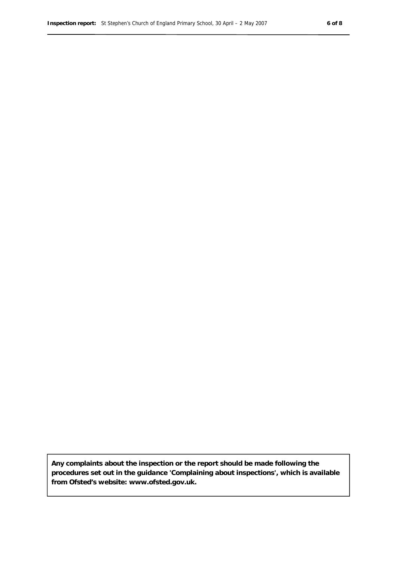**Any complaints about the inspection or the report should be made following the procedures set out in the guidance 'Complaining about inspections', which is available from Ofsted's website: www.ofsted.gov.uk.**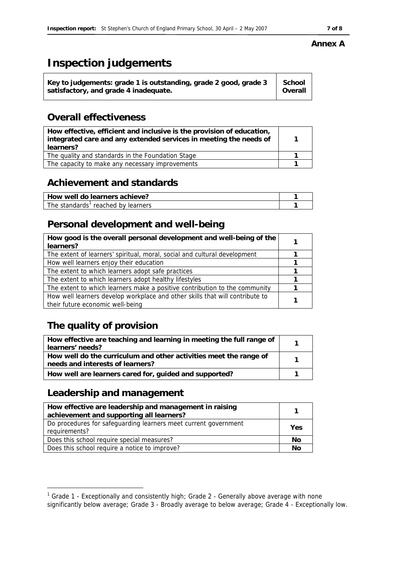#### **Annex A**

# **Inspection judgements**

## **Overall effectiveness**

| How effective, efficient and inclusive is the provision of education,<br>integrated care and any extended services in meeting the needs of<br>learners? |  |
|---------------------------------------------------------------------------------------------------------------------------------------------------------|--|
| The quality and standards in the Foundation Stage                                                                                                       |  |
| The capacity to make any necessary improvements                                                                                                         |  |

## **Achievement and standards**

| ' How well do learners achieve?                |  |
|------------------------------------------------|--|
| The standards <sup>1</sup> reached by learners |  |

## **Personal development and well-being**

| How good is the overall personal development and well-being of the<br>learners? |  |
|---------------------------------------------------------------------------------|--|
| The extent of learners' spiritual, moral, social and cultural development       |  |
| How well learners enjoy their education                                         |  |
| The extent to which learners adopt safe practices                               |  |
| The extent to which learners adopt healthy lifestyles                           |  |
| The extent to which learners make a positive contribution to the community      |  |
| How well learners develop workplace and other skills that will contribute to    |  |
| their future economic well-being                                                |  |

# **The quality of provision**

| How effective are teaching and learning in meeting the full range of<br>learners' needs?              |  |
|-------------------------------------------------------------------------------------------------------|--|
| How well do the curriculum and other activities meet the range of<br>needs and interests of learners? |  |
| How well are learners cared for, guided and supported?                                                |  |

## **Leadership and management**

| How effective are leadership and management in raising<br>achievement and supporting all learners? |     |
|----------------------------------------------------------------------------------------------------|-----|
| Do procedures for safeguarding learners meet current government<br>requirements?                   | Yes |
| Does this school require special measures?                                                         | No  |
| Does this school require a notice to improve?                                                      | Nс  |

 1 Grade 1 - Exceptionally and consistently high; Grade 2 - Generally above average with none significantly below average; Grade 3 - Broadly average to below average; Grade 4 - Exceptionally low.